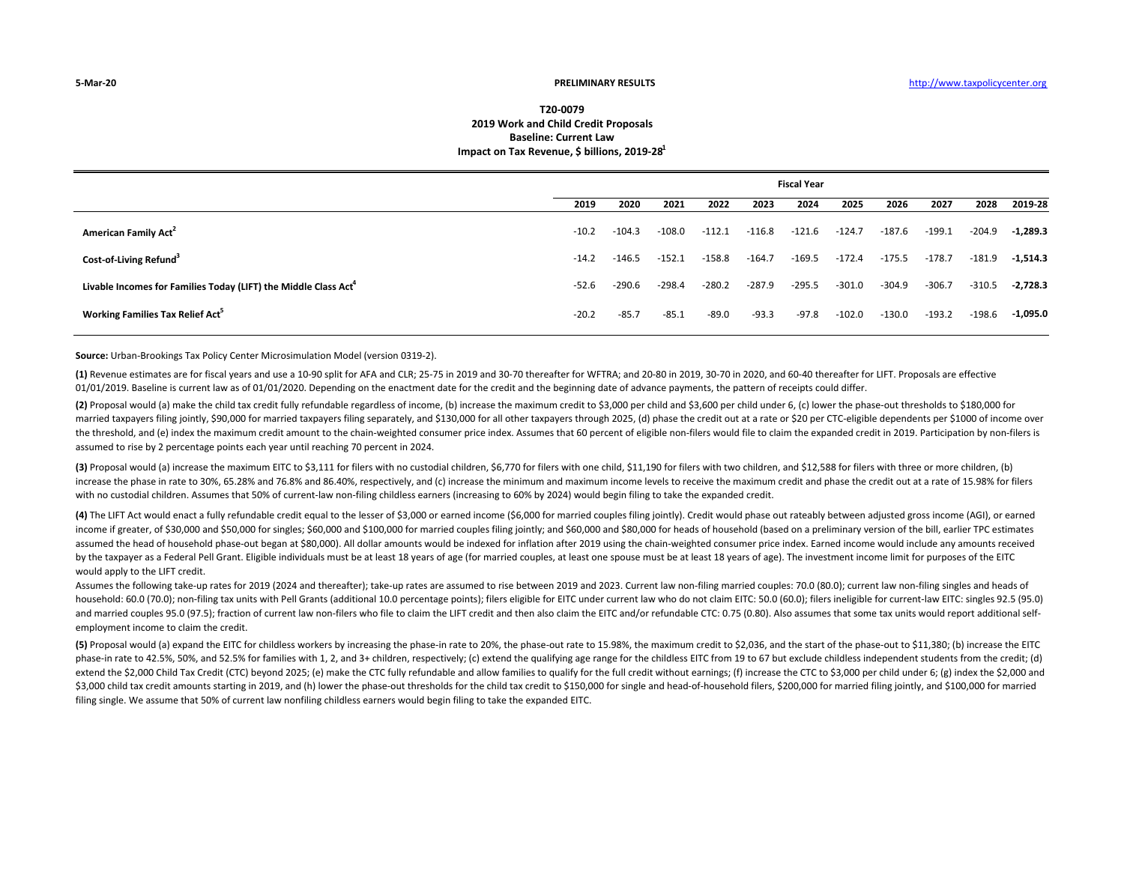## **T20‐00792019 Work and Child Credit Proposals Baseline: Current LawImpact on Tax Revenue, \$ billions, 2019‐281**

|                                                                             | <b>Fiscal Year</b> |          |          |          |          |          |          |          |          |          |            |
|-----------------------------------------------------------------------------|--------------------|----------|----------|----------|----------|----------|----------|----------|----------|----------|------------|
|                                                                             | 2019               | 2020     | 2021     | 2022     | 2023     | 2024     | 2025     | 2026     | 2027     | 2028     | 2019-28    |
| American Family Act <sup>2</sup>                                            | $-10.2$            | $-104.3$ | $-108.0$ | $-112.1$ | $-116.8$ | $-121.6$ | $-124.7$ | $-187.6$ | $-199.1$ | -204.9   | $-1,289.3$ |
| Cost-of-Living Refund <sup>3</sup>                                          | $-14.2$            | $-146.5$ | $-152.1$ | $-158.8$ | $-164.7$ | $-169.5$ | $-172.4$ | $-175.5$ | $-178.7$ | $-181.9$ | $-1,514.3$ |
| Livable Incomes for Families Today (LIFT) the Middle Class Act <sup>4</sup> | $-52.6$            | $-290.6$ | $-298.4$ | $-280.2$ | $-287.9$ | $-295.5$ | $-301.0$ | $-304.9$ | $-306.7$ | $-310.5$ | $-2,728.3$ |
| <b>Working Families Tax Relief Act</b> <sup>5</sup>                         | $-20.2$            | $-85.7$  | $-85.1$  | $-89.0$  | $-93.3$  | $-97.8$  | $-102.0$ | $-130.0$ | $-193.2$ | $-198.6$ | $-1,095.0$ |

**Source:** Urban‐Brookings Tax Policy Center Microsimulation Model (version 0319‐2).

**(1)** Revenue estimates are for fiscal years and use a 10‐90 split for AFA and CLR; 25‐75 in 2019 and 30‐70 thereafter for WFTRA; and 20‐80 in 2019, 30‐70 in 2020, and 60‐40 thereafter for LIFT. Proposals are effective 01/01/2019. Baseline is current law as of 01/01/2020. Depending on the enactment date for the credit and the beginning date of advance payments, the pattern of receipts could differ.

(2) Proposal would (a) make the child tax credit fully refundable regardless of income. (b) increase the maximum credit to \$3.000 per child and \$3.600 per child under 6. (c) lower the phase-out thresholds to \$180.000 for married taxpayers filing jointly, \$90,000 for married taxpayers filing separately, and \$130,000 for all other taxpayers through 2025, (d) phase the credit out at a rate or \$20 per CTC-eligible dependents per \$1000 of incom the threshold, and (e) index the maximum credit amount to the chain-weighted consumer price index. Assumes that 60 percent of eligible non-filers would file to claim the expanded credit in 2019. Participation by non-filers assumed to rise by 2 percentage points each year until reaching 70 percent in 2024.

(3) Proposal would (a) increase the maximum EITC to \$3,111 for filers with no custodial children, \$6,770 for filers with one child, \$11,190 for filers with two children, and \$12,588 for filers with three or more children, increase the phase in rate to 30%, 65.28% and 76.8% and 86.40%, respectively, and (c) increase the minimum and maximum income levels to receive the maximum credit and phase the credit out at a rate of 15.98% for filers with no custodial children. Assumes that 50% of current-law non-filing childless earners (increasing to 60% by 2024) would begin filing to take the expanded credit.

(4) The LIFT Act would enact a fully refundable credit equal to the lesser of \$3,000 or earned income (\$6,000 for married couples filing jointly). Credit would phase out rateably between adjusted gross income (AGI), or ear income if greater, of \$30,000 and \$50,000 for singles; \$60,000 and \$100,000 for married couples filing jointly; and \$60,000 and \$80,000 for heads of household (based on a preliminary version of the bill, earlier TPC estima assumed the head of household phase-out began at \$80,000). All dollar amounts would be indexed for inflation after 2019 using the chain-weighted consumer price index. Earned income would include any amounts received by the taxpayer as a Federal Pell Grant. Eligible individuals must be at least 18 years of age (for married couples, at least one spouse must be at least 18 years of age). The investment income limit for purposes of the EI would apply to the LIFT credit.

Assumes the following take‐up rates for 2019 (2024 and thereafter); take‐up rates are assumed to rise between 2019 and 2023. Current law non‐filing married couples: 70.0 (80.0); current law non‐filing singles and heads of household: 60.0 (70.0); non-filing tax units with Pell Grants (additional 10.0 percentage points); filers eligible for EITC under current law who do not claim EITC: 50.0 (60.0); filers ineligible for current-law EITC: sing and married couples 95.0 (97.5); fraction of current law non-filers who file to claim the LIFT credit and then also claim the EITC and/or refundable CTC: 0.75 (0.80). Also assumes that some tax units would report additiona employment income to claim the credit.

(5) Proposal would (a) expand the EITC for childless workers by increasing the phase-in rate to 20%, the phase-out rate to 15.98%, the maximum credit to \$2.036, and the start of the phase-out to \$11.380; (b) increase the E phase-in rate to 42.5%, 50%, and 52.5% for families with 1, 2, and 3+ children, respectively; (c) extend the qualifying age range for the childless EITC from 19 to 67 but exclude childless independent students from the cre extend the \$2,000 Child Tax Credit (CTC) beyond 2025; (e) make the CTC fully refundable and allow families to qualify for the full credit without earnings; (f) increase the CTC to \$3,000 per child under 6; (g) index the \$2 \$3,000 child tax credit amounts starting in 2019, and (h) lower the phase-out thresholds for the child tax credit to \$150,000 for single and head-of-household filers, \$200,000 for married filing jointly, and \$100,000 for m filing single. We assume that 50% of current law nonfiling childless earners would begin filing to take the expanded EITC.